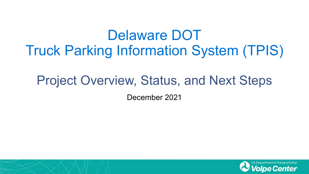# Delaware DOT Truck Parking Information System (TPIS)

## Project Overview, Status, and Next Steps

December 2021

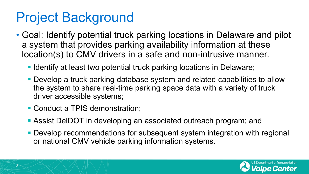# Project Background

- Goal: Identify potential truck parking locations in Delaware and pilot a system that provides parking availability information at these location(s) to CMV drivers in a safe and non-intrusive manner.
	- **IDENT** Identify at least two potential truck parking locations in Delaware;
	- Develop a truck parking database system and related capabilities to allow the system to share real-time parking space data with a variety of truck driver accessible systems;
	- **Conduct a TPIS demonstration;**
	- Assist DelDOT in developing an associated outreach program; and
	- **Develop recommendations for subsequent system integration with regional** or national CMV vehicle parking information systems.

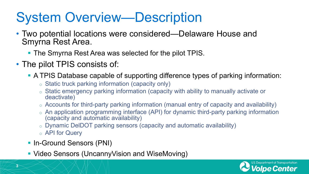# System Overview—Description

- Two potential locations were considered—Delaware House and Smyrna Rest Area.
	- The Smyrna Rest Area was selected for the pilot TPIS.
- The pilot TPIS consists of:
	- A TPIS Database capable of supporting difference types of parking information:
		- o Static truck parking information (capacity only)
		- o Static emergency parking information (capacity with ability to manually activate or deactivate)
		- o Accounts for third-party parking information (manual entry of capacity and availability)
		- o An application programming interface (API) for dynamic third-party parking information (capacity and automatic availability)
		- o Dynamic DelDOT parking sensors (capacity and automatic availability)
		- o API for Query
	- **In-Ground Sensors (PNI)**
	- **Video Sensors (UncannyVision and WiseMoving)**

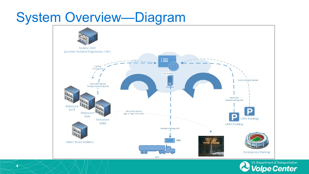## System Overview—Diagram





**4**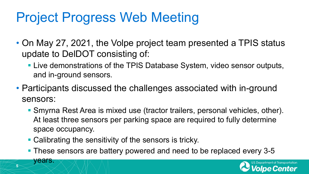# Project Progress Web Meeting

- On May 27, 2021, the Volpe project team presented a TPIS status update to DelDOT consisting of:
	- Live demonstrations of the TPIS Database System, video sensor outputs, and in-ground sensors.
- Participants discussed the challenges associated with in-ground sensors:
	- Smyrna Rest Area is mixed use (tractor trailers, personal vehicles, other). At least three sensors per parking space are required to fully determine space occupancy.
	- **Calibrating the sensitivity of the sensors is tricky.**

**5**

years.

**These sensors are battery powered and need to be replaced every 3-5** 

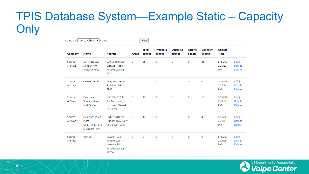### TPIS Database System—Example Static – Capacity **Only**

| Company: Source AllStays ▶ Name: |                                                           |                                                                      |       | Filter                        |                                   |                                  |                                 |                                 |                                  |                                      |  |
|----------------------------------|-----------------------------------------------------------|----------------------------------------------------------------------|-------|-------------------------------|-----------------------------------|----------------------------------|---------------------------------|---------------------------------|----------------------------------|--------------------------------------|--|
| Company                          | Name                                                      | <b>Address</b>                                                       | Areas | <b>Total</b><br><b>Spaces</b> | <b>Available</b><br><b>Spaces</b> | <b>Occupied</b><br><b>Spaces</b> | <b>Offline</b><br><b>Spaces</b> | <b>Unknown</b><br><b>Spaces</b> | Update<br><b>Time</b>            |                                      |  |
| Source<br>AllStays               | 301 Plaza 920<br>Middletown<br>Warwick Road               | 920 Middletown<br>Warwick Road,<br>Middletown DE<br>197              | 0     | 25                            | 0                                 | 0                                | 0                               | 25                              | 5/5/2021<br>2:25:29<br>PM        | Edit  <br>Details  <br>Delete        |  |
| Source<br>AllStays               | Careys Diesel                                             | Rt-9, 168 Denny<br>St, leipsic DE<br>19901                           | 0     | 0                             | 0                                 | 0                                | 0                               | 0                               | 5/5/2021<br>2:23:24<br>PM        | Edit  <br>Details  <br>Delete        |  |
| Source<br>AllStays               | Delaware<br>Sunoco Plaza<br>and Center                    | I-95 MM 2, 530<br><b>JFK Memorial</b><br>Highway, Newark<br>DE 19702 | 0     | 10                            | 0                                 | 0                                | 0                               | 10                              | 5/5/2021<br>2:31:27<br><b>PM</b> | Edit  <br>Details  <br><b>Delete</b> |  |
| Source<br>AllStays               | Delaware Truck<br>Plaza<br>US13/US40, 196<br>S Dupont Hwy | US13/US40, 196 S<br>Dupont Hwy, New<br>Castle DE 19720               | 0     | 40                            | 0                                 | 0                                | 0                               | 40                              | 5/5/2021<br>2:28:32<br>PM        | Edit  <br>Details  <br>Delete        |  |
| Source<br>AllStays               | <b>GP Fuel</b>                                            | US301, 1228<br>Middletown<br>Warwick Rd.<br>Middletown DE<br>19709   | 0     | 0                             | 0                                 | 0                                | 0                               | 0                               | 5/5/2021<br>2:24:06<br>PM        | Edit  <br>Details  <br><b>Delete</b> |  |

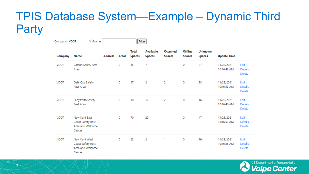### TPIS Database System—Example – Dynamic Third **Party**

| Company: VDOT | $\vee$ Name:                                                     |                |             |                               | Filter                            |                           |                                 |                                 |                           |                                      |  |
|---------------|------------------------------------------------------------------|----------------|-------------|-------------------------------|-----------------------------------|---------------------------|---------------------------------|---------------------------------|---------------------------|--------------------------------------|--|
| Company       | Name                                                             | <b>Address</b> | Areas       | <b>Total</b><br><b>Spaces</b> | <b>Available</b><br><b>Spaces</b> | Occupied<br><b>Spaces</b> | <b>Offline</b><br><b>Spaces</b> | <b>Unknown</b><br><b>Spaces</b> | <b>Update Time</b>        |                                      |  |
| <b>VDOT</b>   | Carson Safety Rest<br>Area                                       |                | 0           | 35                            | 7                                 | 1                         | 0                               | 27                              | 11/23/2021<br>10:46:48 AM | Edit  <br>Details  <br>Delete        |  |
| <b>VDOT</b>   | Dale City Safety<br>Rest Area                                    |                | $\mathbf 0$ | 37                            | 2                                 | 2                         | 0                               | 33                              | 11/23/2021<br>10:46:53 AM | Edit  <br>Details  <br>Delete        |  |
| <b>VDOT</b>   | Ladysmith Safety<br>Rest Area                                    |                | 0           | 30                            | 12                                | 2                         | 0                               | 16                              | 11/23/2021<br>10:46:46 AM | Edit  <br>Details  <br>Delete        |  |
| <b>VDOT</b>   | New Kent East<br>Coast Safety Rest<br>Area and Welcome<br>Center |                | 0           | 70                            | 22                                | 1                         | 0                               | 47                              | 11/23/2021<br>10:46:52 AM | Edit  <br>Details  <br>Delete        |  |
| <b>VDOT</b>   | New Kent West<br>Coast Safety Rest<br>Area and Welcome<br>Center |                | 0           | 22                            | 2                                 | 1                         | 0                               | 19                              | 11/23/2021<br>10:46:55 AM | Edit  <br>Details  <br><b>Delete</b> |  |

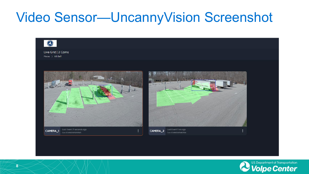## Video Sensor—UncannyVision Screenshot



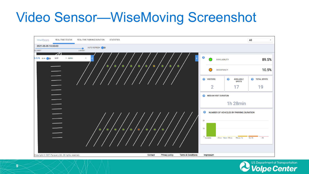## Video Sensor—WiseMoving Screenshot



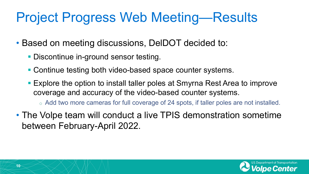# Project Progress Web Meeting—Results

- Based on meeting discussions, DelDOT decided to:
	- **Discontinue in-ground sensor testing.**
	- Continue testing both video-based space counter systems.
	- Explore the option to install taller poles at Smyrna Rest Area to improve coverage and accuracy of the video-based counter systems.

o Add two more cameras for full coverage of 24 spots, if taller poles are not installed.

• The Volpe team will conduct a live TPIS demonstration sometime between February-April 2022.

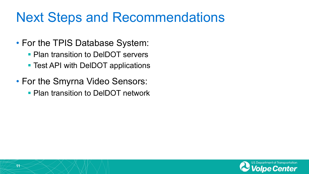## Next Steps and Recommendations

- For the TPIS Database System:
	- **Plan transition to DelDOT servers**
	- Test API with DeIDOT applications
- For the Smyrna Video Sensors:
	- **Plan transition to DeIDOT network**